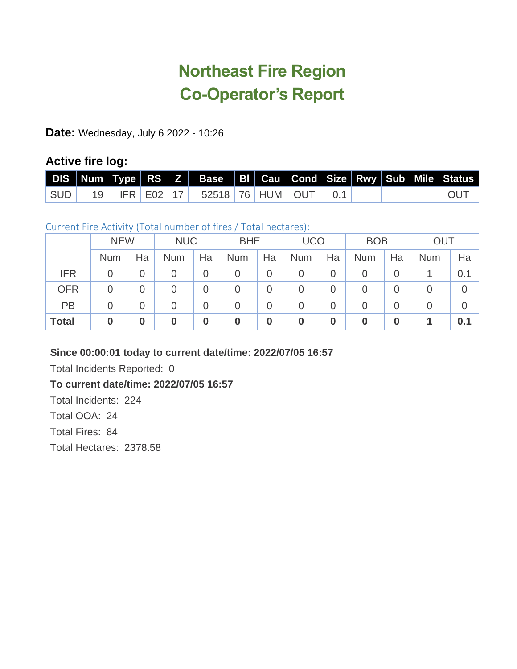# **Northeast Fire Region Co-Operator's Report**

**Date:** Wednesday, July 6 2022 - 10:26

# **Active fire log:**

|  |  | DIS Num Type RS Z Base BI Cau Cond Size Rwy Sub Mile Status |  |  |  |            |
|--|--|-------------------------------------------------------------|--|--|--|------------|
|  |  | SUD   19   IFR   E02   17   52518   76   HUM   OUT   0.1    |  |  |  | <b>OUT</b> |

# Current Fire Activity (Total number of fires / Total hectares):

|              | <b>NEW</b>     |                | <b>NUC</b>       |                  | <b>BHE</b> |                | <b>UCO</b> |                  | <b>BOB</b>       |                  | <b>OUT</b> |     |
|--------------|----------------|----------------|------------------|------------------|------------|----------------|------------|------------------|------------------|------------------|------------|-----|
|              | <b>Num</b>     | Ha             | <b>Num</b>       | Ha               | <b>Num</b> | Ha             | <b>Num</b> | Ha               | <b>Num</b>       | Ha               | <b>Num</b> | Ha  |
| <b>IFR</b>   | 0              | $\overline{0}$ | 0                | 0                | 0          | $\overline{0}$ | 0          | $\overline{0}$   | 0                | $\overline{0}$   |            | 0.1 |
| <b>OFR</b>   | $\overline{0}$ | $\overline{0}$ | $\overline{0}$   | $\overline{0}$   | 0          | $\overline{0}$ | 0          | $\overline{0}$   | 0                | $\overline{0}$   | 0          |     |
| PB           | $\overline{0}$ | $\overline{0}$ | $\overline{0}$   | 0                | 0          | $\overline{0}$ | 0          | $\overline{0}$   | 0                | $\overline{0}$   | 0          |     |
| <b>Total</b> | $\bf{0}$       | $\bf{0}$       | $\boldsymbol{0}$ | $\boldsymbol{0}$ | 0          | $\bf{0}$       | 0          | $\boldsymbol{0}$ | $\boldsymbol{0}$ | $\boldsymbol{0}$ |            | 0.1 |

### **Since 00:00:01 today to current date/time: 2022/07/05 16:57**

Total Incidents Reported: 0

### **To current date/time: 2022/07/05 16:57**

Total Incidents: 224

Total OOA: 24

Total Fires: 84

Total Hectares: 2378.58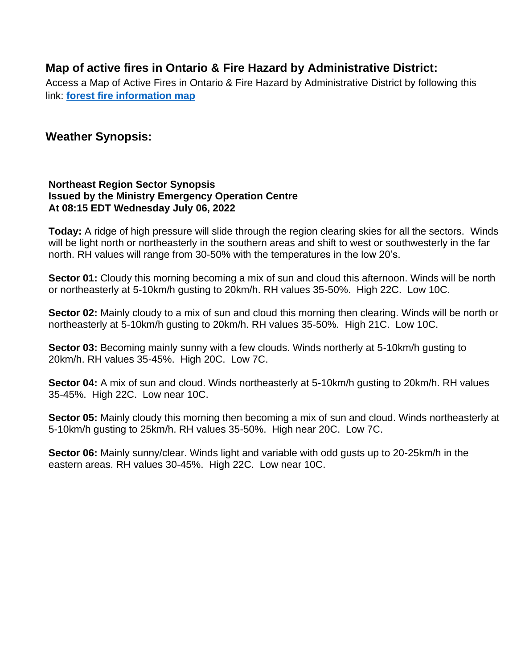# **Map of active fires in Ontario & Fire Hazard by Administrative District:**

Access a Map of Active Fires in Ontario & Fire Hazard by Administrative District by following this link: **[forest fire information map](https://www.gisapplication.lrc.gov.on.ca/ForestFireInformationMap/index.html?viewer=FFIM.FFIM&locale=en-US)**

# **Weather Synopsis:**

#### **Northeast Region Sector Synopsis Issued by the Ministry Emergency Operation Centre At 08:15 EDT Wednesday July 06, 2022**

**Today:** A ridge of high pressure will slide through the region clearing skies for all the sectors. Winds will be light north or northeasterly in the southern areas and shift to west or southwesterly in the far north. RH values will range from 30-50% with the temperatures in the low 20's.

**Sector 01:** Cloudy this morning becoming a mix of sun and cloud this afternoon. Winds will be north or northeasterly at 5-10km/h gusting to 20km/h. RH values 35-50%. High 22C. Low 10C.

**Sector 02:** Mainly cloudy to a mix of sun and cloud this morning then clearing. Winds will be north or northeasterly at 5-10km/h gusting to 20km/h. RH values 35-50%. High 21C. Low 10C.

**Sector 03:** Becoming mainly sunny with a few clouds. Winds northerly at 5-10km/h gusting to 20km/h. RH values 35-45%. High 20C. Low 7C.

**Sector 04:** A mix of sun and cloud. Winds northeasterly at 5-10km/h gusting to 20km/h. RH values 35-45%. High 22C. Low near 10C.

**Sector 05:** Mainly cloudy this morning then becoming a mix of sun and cloud. Winds northeasterly at 5-10km/h gusting to 25km/h. RH values 35-50%. High near 20C. Low 7C.

**Sector 06:** Mainly sunny/clear. Winds light and variable with odd gusts up to 20-25km/h in the eastern areas. RH values 30-45%. High 22C. Low near 10C.